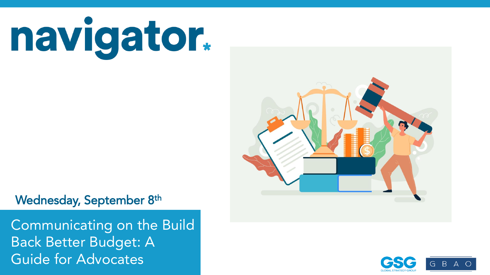navigator.

G B A

Wednesday, September 8th

Back Better Budget: Andrewings approximately 1,000 interviews taken over the prior three-five days. In the prior three-five days. In the prior three-five days. In the prior three-five days. In the prior three-five days. In Guide for Advocates and all and some info, visit navigators and all all and some info, visit navigators and al Communicating on the Build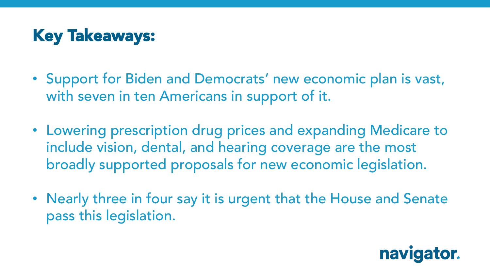## Key Takeaways:

- Support for Biden and Democrats' new economic plan is vast, with seven in ten Americans in support of it.
- Lowering prescription drug prices and expanding Medicare to include vision, dental, and hearing coverage are the most broadly supported proposals for new economic legislation.
- Nearly three in four say it is urgent that the House and Senate pass this legislation.

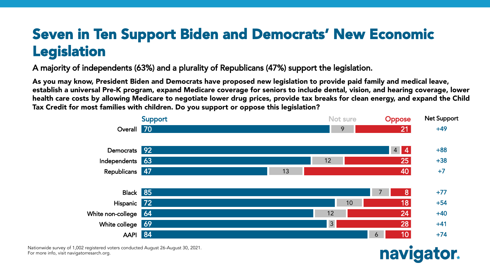#### Seven in Ten Support Biden and Democrats' New Economic Legislation

A majority of independents (63%) and a plurality of Republicans (47%) support the legislation.

As you may know, President Biden and Democrats have proposed new legislation to provide paid family and medical leave, establish a universal Pre-K program, expand Medicare coverage for seniors to include dental, vision, and hearing coverage, lower health care costs by allowing Medicare to negotiate lower drug prices, provide tax breaks for clean energy, and expand the Child Tax Credit for most families with children. Do you support or oppose this legislation?



Nationwide survey of 1,002 registered voters conducted August 26-August 30, 2021.<br>E For more info, visit navigatorresarch.org.

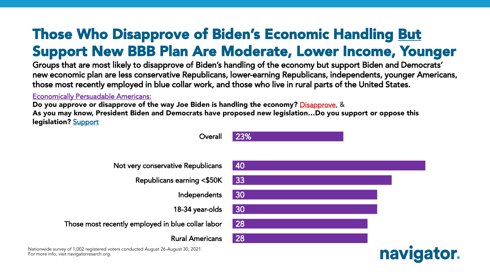## Those Who Disapprove of Biden's Economic Handling But Support New BBB Plan Are Moderate, Lower Income, Younger

Groups that are most likely to disapprove of Biden's handling of the economy but support Biden and Democrats' new economic plan are less conservative Republicans, lower-earning Republicans, independents, younger Americans, those most recently employed in blue collar work, and those who live in rural parts of the United States.

Economically Persuadable Americans:

Do you approve or disapprove of the way Joe Biden is handling the economy? Disapprove, & As you may know, President Biden and Democrats have proposed new legislation…Do you support or oppose this legislation? Support

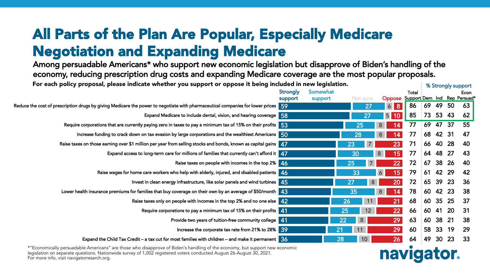## All Parts of the Plan Are Popular, Especially Medicare Negotiation and Expanding Medicare

Among persuadable Americans\* who support new economic legislation but disapprove of Biden's handling of the economy, reducing prescription drug costs and expanding Medicare coverage are the most popular proposals. For each policy proposal, please indicate whether you support or oppose it being included in new legislation.

| For each policy proposal, please indicate whether you support or oppose it being included in new legislation.                     |                 |          |                |                                     |       | % Strongly support |                 |           |      |  |
|-----------------------------------------------------------------------------------------------------------------------------------|-----------------|----------|----------------|-------------------------------------|-------|--------------------|-----------------|-----------|------|--|
|                                                                                                                                   | <b>Strongly</b> | Somewhat |                |                                     | Total |                    |                 |           | Econ |  |
|                                                                                                                                   | support         | support  | Not sure       | Oppose Support Dem Ind Rep Persuad* |       |                    |                 |           |      |  |
| Reduce the cost of prescription drugs by giving Medicare the power to negotiate with pharmaceutical companies for lower prices 59 |                 |          | 27             | 6 8                                 | 86 69 |                    | 49              | 50        | 63   |  |
| Expand Medicare to include dental, vision, and hearing coverage 58                                                                |                 |          | 27             | 5 10                                | 85    | $-73$              | 53              | 43        | 62   |  |
| Require corporations that are currently paying zero in taxes to pay a minimum tax of 15% on their profits $\sqrt{53}$             |                 |          | 25             | 8 <sup>1</sup><br>14                | 77    | $-69$              | 47 37           |           | 55   |  |
| Increase funding to crack down on tax evasion by large corporations and the wealthiest Americans 50                               |                 | 28       |                | 8 <sup>8</sup><br>14                | 77    | 68 42 31           |                 |           | 47   |  |
| Raise taxes on those earning over \$1 million per year from selling stocks and bonds, known as capital gains 47                   |                 | 23       | $7^{\circ}$    | 23                                  | 71    | 66 40              |                 | 28        | 40   |  |
| Expand access to long-term care for millions of families that currently can't afford it $\sqrt{47}$                               |                 | 30       |                | 15<br>8                             | 77    | 64                 | 48              | 27        | 43   |  |
| Raise taxes on people with incomes in the top 2% 46                                                                               |                 | 25       |                | 22                                  | 72    | $-67$              | 38              | 26        | 40   |  |
| Raise wages for home care workers who help with elderly, injured, and disabled patients 46                                        |                 | 33       |                | 15<br>6                             | 79    | 6142               |                 | -29       | 42   |  |
| Invest in clean energy infrastructure, like solar panels and wind turbines 45                                                     |                 | 27       | 8 <sup>°</sup> | 20                                  | 72    | 6539               |                 | 23        | 36   |  |
| Lower health insurance premiums for families that buy coverage on their own by an average of \$50/month 43                        |                 | 35       |                | 14<br>8 <sup>1</sup>                | 78    | $\frac{1}{2}$ 60   | 42              | -23       | 38   |  |
| Raise taxes only on people with incomes in the top 2% and no one else 42                                                          |                 | 26       | 11             | 21                                  | 68    | : 60               | 35              | 25        | 37   |  |
| Require corporations to pay a minimum tax of 15% on their profits 41                                                              |                 | 25       | 12             | 22                                  | 66    | 16041              |                 | <b>20</b> | 31   |  |
| Provide two years of tuition-free community college 41                                                                            |                 | 22       | 8 <sup>1</sup> | 29                                  | 63    | 603821             |                 |           | 38   |  |
| Increase the corporate tax rate from 21% to 28% 39                                                                                |                 | 21       | 11             | 29                                  | 60    | 58                 | 33              | 19        | 29   |  |
| Expand the Child Tax Credit – a tax cut for most families with children – and make it permanent $36$                              |                 | 28       | 10             | 26                                  | 64    | 49                 | 30 <sup>°</sup> | <b>23</b> | 33   |  |

\*"Economically persuadable Americans" are those who disapprove of Biden's handling of the economy, but support new economic<br>\*"Economically persuadable Americans" are those who disapprove of Biden's handling of the economy, legislation on separate questions. Nationwide survey of 1,002 registered voters conducted August 26-August 30, 2021.<br>F For more info, visit navigatorresarch.org.

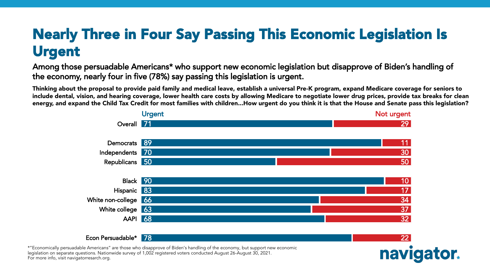## Nearly Three in Four Say Passing This Economic Legislation Is Urgent

Among those persuadable Americans\* who support new economic legislation but disapprove of Biden's handling of the economy, nearly four in five (78%) say passing this legislation is urgent.

Thinking about the proposal to provide paid family and medical leave, establish a universal Pre-K program, expand Medicare coverage for seniors to include dental, vision, and hearing coverage, lower health care costs by allowing Medicare to negotiate lower drug prices, provide tax breaks for clean energy, and expand the Child Tax Credit for most families with children...How urgent do you think it is that the House and Senate pass this legislation?



\*"Economically persuadable Americans" are those who disapprove of Biden's handling of the economy, but support new economic<br>\*"Economically persuadable Americans" are those who disapprove of Biden's handling of the economy, legislation on separate questions. Nationwide survey of 1,002 registered voters conducted August 26-August 30, 2021.<br>F For more info, visit navigatorresarch.org.

Econ Persuadable\* 178

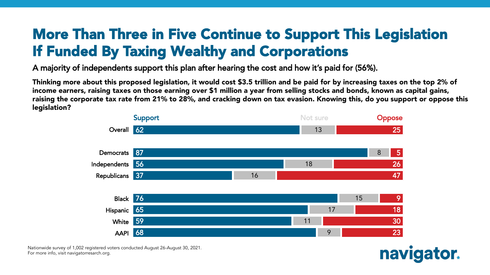#### More Than Three in Five Continue to Support This Legislation If Funded By Taxing Wealthy and Corporations

A majority of independents support this plan after hearing the cost and how it's paid for (56%).

Thinking more about this proposed legislation, it would cost \$3.5 trillion and be paid for by increasing taxes on the top 2% of income earners, raising taxes on those earning over \$1 million a year from selling stocks and bonds, known as capital gains, raising the corporate tax rate from 21% to 28%, and cracking down on tax evasion. Knowing this, do you support or oppose this legislation?



Nationwide survey of 1,002 registered voters conducted August 26-August 30, 2021.<br>E For more info, visit navigatorresarch.org.

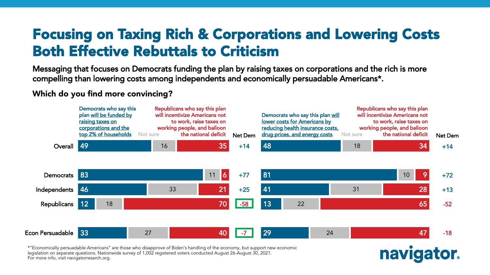#### Focusing on Taxing Rich & Corporations and Lowering Costs Both Effective Rebuttals to Criticism

Messaging that focuses on Democrats funding the plan by raising taxes on corporations and the rich is more compelling than lowering costs among independents and economically persuadable Americans\*.

Which do you find more convincing?



\*"Economically persuadable Americans" are those who disapprove of Biden's handling of the economy, but support new economic<br>\*"Economically persuadable Americans" are those who disapprove of Biden's handling of the economy, legislation on separate questions. Nationwide survey of 1,002 registered voters conducted August 26-August 30, 2021.<br>F For more info, visit navigatorresarch.org.

navigator.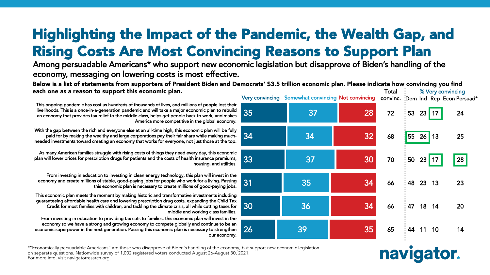## Highlighting the Impact of the Pandemic, the Wealth Gap, and Rising Costs Are Most Convincing Reasons to Support Plan

Among persuadable Americans\* who support new economic legislation but disapprove of Biden's handling of the economy, messaging on lowering costs is most effective.

Below is a list of statements from supporters of President Biden and Democrats' \$3.5 trillion economic plan. Please indicate how convincing you find each one as a reason to support this economic plan. Total % Very convincing

35 34 This ongoing pandemic has cost us hundreds of thousands of lives, and millions of people lost their livelihoods. This is a once-in-a-generation pandemic and will take a major economic plan to rebuild an economy that provides tax relief to the middle class, helps get people back to work, and makes America more competitive in the global economy. With the gap between the rich and everyone else at an all-time high, this economic plan will be fully paid for by making the wealthy and large corporations pay their fair share while making muchneeded investments toward creating an economy that works for everyone, not just those at the top.

As many American families struggle with rising costs of things they need every day, this economic plan will lower prices for prescription drugs for patients and the costs of health insurance premiums, housing, and utilities.

From investing in education to investing in clean energy technology, this plan will invest in the economy and create millions of stable, good-paying jobs for people who work for a living. Passing this economic plan is necessary to create millions of good-paying jobs.

This economic plan meets the moment by making historic and transformative investments including guaranteeing affordable health care and lowering prescription drug costs, expanding the Child Tax Credit for most families with children, and tackling the climate crisis, all while cutting taxes for middle and working class families.

From investing in education to providing tax cuts to families, this economic plan will invest in the economy so we have a strong and growing economy to compete globally and continue to be an economic superpower in the next generation. Passing this economic plan is necessary to strengthen our economy.





navigator.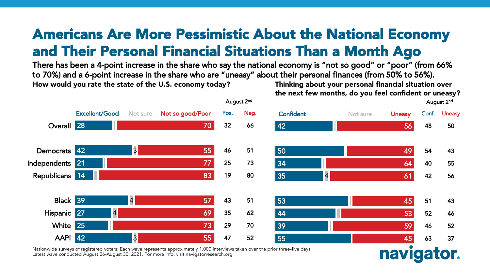#### Americans Are More Pessimistic About the National Economy and Their Personal Financial Situations Than a Month Ago

There has been a 4-point increase in the share who say the national economy is "not so good" or "poor" (from 66% to 70%) and a 6-point increase in the share who are "uneasy" about their personal finances (from 50% to 56%). Thinking about your personal financial situation over How would you rate the state of the U.S. economy today?

the next few months, do you feel confident or uneasy?



Nationwide surveys of registered voters; Each wave represents approximately 1,000 interviews taken over the prior three-five days. Latest wave conducted August 26-August 30, 2021. For more info, visit navigatorresearch.org